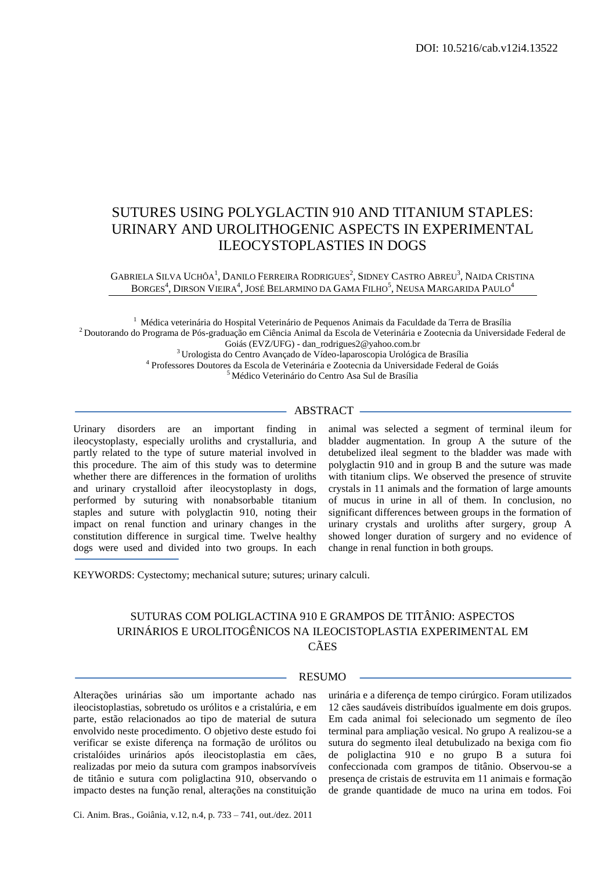# SUTURES USING POLYGLACTIN 910 AND TITANIUM STAPLES: URINARY AND UROLITHOGENIC ASPECTS IN EXPERIMENTAL ILEOCYSTOPLASTIES IN DOGS

### GABRIELA SILVA UCHÔA<sup>1</sup>, DANILO FERREIRA RODRIGUES<sup>2</sup>, SIDNEY CASTRO ABREU<sup>3</sup>, NAIDA CRISTINA BORGES $^4$ , Dirson Vieira $^4$ , José Belarmino da Gama Filho $^5$ , Neusa Margarida Paulo $^4$

 Médica veterinária do Hospital Veterinário de Pequenos Animais da Faculdade da Terra de Brasília Doutorando do Programa de Pós-graduação em Ciência Animal da Escola de Veterinária e Zootecnia da Universidade Federal de Goiás (EVZ/UFG) - dan\_rodrigues2@yahoo.com.br Urologista do Centro Avançado de Vídeo-laparoscopia Urológica de Brasília

4 Professores Doutores da Escola de Veterinária e Zootecnia da Universidade Federal de Goiás

<sup>5</sup>Médico Veterinário do Centro Asa Sul de Brasília

## - ABSTRACT -

Urinary disorders are an important finding in ileocystoplasty, especially uroliths and crystalluria, and partly related to the type of suture material involved in this procedure. The aim of this study was to determine whether there are differences in the formation of uroliths and urinary crystalloid after ileocystoplasty in dogs, performed by suturing with nonabsorbable titanium staples and suture with polyglactin 910, noting their impact on renal function and urinary changes in the constitution difference in surgical time. Twelve healthy dogs were used and divided into two groups. In each animal was selected a segment of terminal ileum for bladder augmentation. In group A the suture of the detubelized ileal segment to the bladder was made with polyglactin 910 and in group B and the suture was made with titanium clips. We observed the presence of struvite crystals in 11 animals and the formation of large amounts of mucus in urine in all of them. In conclusion, no significant differences between groups in the formation of urinary crystals and uroliths after surgery, group A showed longer duration of surgery and no evidence of change in renal function in both groups.

KEYWORDS: Cystectomy; mechanical suture; sutures; urinary calculi.

## SUTURAS COM POLIGLACTINA 910 E GRAMPOS DE TITÂNIO: ASPECTOS URINÁRIOS E UROLITOGÊNICOS NA ILEOCISTOPLASTIA EXPERIMENTAL EM CÃES

# **RESUMO**

Alterações urinárias são um importante achado nas ileocistoplastias, sobretudo os urólitos e a cristalúria, e em parte, estão relacionados ao tipo de material de sutura envolvido neste procedimento. O objetivo deste estudo foi verificar se existe diferença na formação de urólitos ou cristalóides urinários após ileocistoplastia em cães, realizadas por meio da sutura com grampos inabsorvíveis de titânio e sutura com poliglactina 910, observando o impacto destes na função renal, alterações na constituição urinária e a diferença de tempo cirúrgico. Foram utilizados 12 cães saudáveis distribuídos igualmente em dois grupos. Em cada animal foi selecionado um segmento de íleo terminal para ampliação vesical. No grupo A realizou-se a sutura do segmento ileal detubulizado na bexiga com fio de poliglactina 910 e no grupo B a sutura foi confeccionada com grampos de titânio. Observou-se a presença de cristais de estruvita em 11 animais e formação de grande quantidade de muco na urina em todos. Foi

Ci. Anim. Bras., Goiânia, v.12, n.4, p. 733 – 741, out./dez. 2011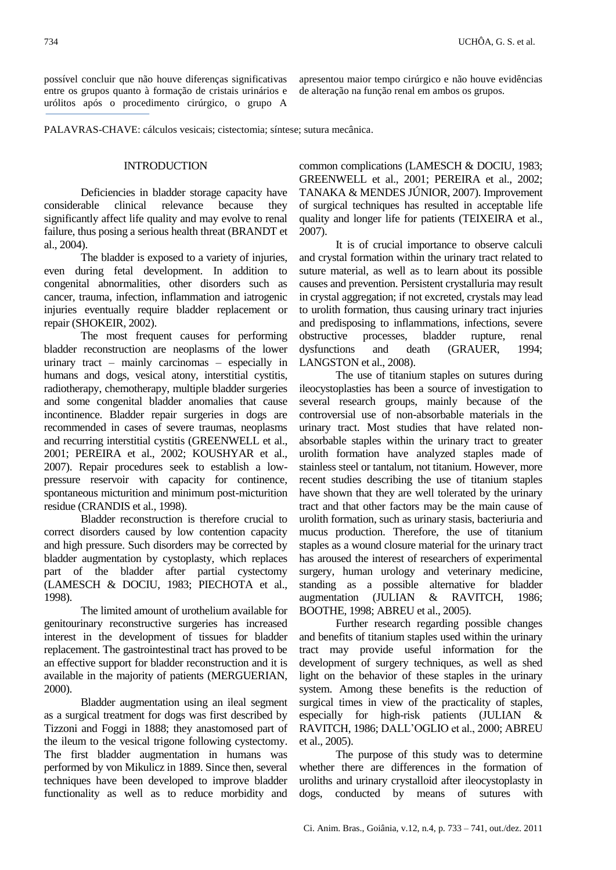possível concluir que não houve diferenças significativas entre os grupos quanto à formação de cristais urinários e urólitos após o procedimento cirúrgico, o grupo A

apresentou maior tempo cirúrgico e não houve evidências de alteração na função renal em ambos os grupos.

PALAVRAS-CHAVE: cálculos vesicais; cistectomia; síntese; sutura mecânica.

## **INTRODUCTION**

Deficiencies in bladder storage capacity have considerable clinical relevance because they significantly affect life quality and may evolve to renal failure, thus posing a serious health threat (BRANDT et al., 2004).

The bladder is exposed to a variety of injuries, even during fetal development. In addition to congenital abnormalities, other disorders such as cancer, trauma, infection, inflammation and iatrogenic injuries eventually require bladder replacement or repair (SHOKEIR, 2002).

The most frequent causes for performing bladder reconstruction are neoplasms of the lower urinary tract – mainly carcinomas – especially in humans and dogs, vesical atony, interstitial cystitis, radiotherapy, chemotherapy, multiple bladder surgeries and some congenital bladder anomalies that cause incontinence. Bladder repair surgeries in dogs are recommended in cases of severe traumas, neoplasms and recurring interstitial cystitis (GREENWELL et al., 2001; PEREIRA et al., 2002; KOUSHYAR et al., 2007). Repair procedures seek to establish a lowpressure reservoir with capacity for continence, spontaneous micturition and minimum post-micturition residue (CRANDIS et al., 1998).

Bladder reconstruction is therefore crucial to correct disorders caused by low contention capacity and high pressure. Such disorders may be corrected by bladder augmentation by cystoplasty, which replaces part of the bladder after partial cystectomy (LAMESCH & DOCIU, 1983; PIECHOTA et al., 1998).

The limited amount of urothelium available for genitourinary reconstructive surgeries has increased interest in the development of tissues for bladder replacement. The gastrointestinal tract has proved to be an effective support for bladder reconstruction and it is available in the majority of patients (MERGUERIAN, 2000).

Bladder augmentation using an ileal segment as a surgical treatment for dogs was first described by Tizzoni and Foggi in 1888; they anastomosed part of the ileum to the vesical trigone following cystectomy. The first bladder augmentation in humans was performed by von Mikulicz in 1889. Since then, several techniques have been developed to improve bladder functionality as well as to reduce morbidity and common complications (LAMESCH & DOCIU, 1983; GREENWELL et al., 2001; PEREIRA et al., 2002; TANAKA & MENDES JÚNIOR, 2007). Improvement of surgical techniques has resulted in acceptable life quality and longer life for patients (TEIXEIRA et al., 2007).

It is of crucial importance to observe calculi and crystal formation within the urinary tract related to suture material, as well as to learn about its possible causes and prevention. Persistent crystalluria may result in crystal aggregation; if not excreted, crystals may lead to urolith formation, thus causing urinary tract injuries and predisposing to inflammations, infections, severe obstructive processes, bladder rupture, renal dysfunctions and death (GRAUER, 1994; LANGSTON et al., 2008).

The use of titanium staples on sutures during ileocystoplasties has been a source of investigation to several research groups, mainly because of the controversial use of non-absorbable materials in the urinary tract. Most studies that have related nonabsorbable staples within the urinary tract to greater urolith formation have analyzed staples made of stainless steel or tantalum, not titanium. However, more recent studies describing the use of titanium staples have shown that they are well tolerated by the urinary tract and that other factors may be the main cause of urolith formation, such as urinary stasis, bacteriuria and mucus production. Therefore, the use of titanium staples as a wound closure material for the urinary tract has aroused the interest of researchers of experimental surgery, human urology and veterinary medicine, standing as a possible alternative for bladder augmentation (JULIAN & RAVITCH, 1986; BOOTHE, 1998; ABREU et al., 2005).

Further research regarding possible changes and benefits of titanium staples used within the urinary tract may provide useful information for the development of surgery techniques, as well as shed light on the behavior of these staples in the urinary system. Among these benefits is the reduction of surgical times in view of the practicality of staples, especially for high-risk patients (JULIAN & RAVITCH, 1986; DALL'OGLIO et al., 2000; ABREU et al., 2005).

The purpose of this study was to determine whether there are differences in the formation of uroliths and urinary crystalloid after ileocystoplasty in dogs, conducted by means of sutures with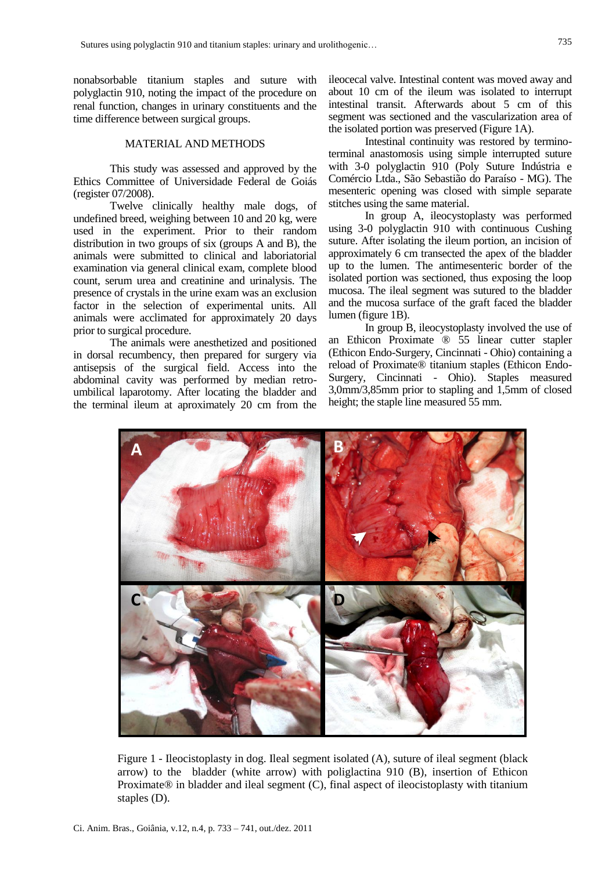nonabsorbable titanium staples and suture with polyglactin 910, noting the impact of the procedure on renal function, changes in urinary constituents and the time difference between surgical groups.

#### MATERIAL AND METHODS

This study was assessed and approved by the Ethics Committee of Universidade Federal de Goiás (register 07/2008).

Twelve clinically healthy male dogs, of undefined breed, weighing between 10 and 20 kg, were used in the experiment. Prior to their random distribution in two groups of six (groups A and B), the animals were submitted to clinical and laboriatorial examination via general clinical exam, complete blood count, serum urea and creatinine and urinalysis. The presence of crystals in the urine exam was an exclusion factor in the selection of experimental units. All animals were acclimated for approximately 20 days prior to surgical procedure.

The animals were anesthetized and positioned in dorsal recumbency, then prepared for surgery via antisepsis of the surgical field. Access into the abdominal cavity was performed by median retroumbilical laparotomy. After locating the bladder and the terminal ileum at aproximately 20 cm from the ileocecal valve. Intestinal content was moved away and about 10 cm of the ileum was isolated to interrupt intestinal transit. Afterwards about 5 cm of this segment was sectioned and the vascularization area of the isolated portion was preserved (Figure 1A).

Intestinal continuity was restored by terminoterminal anastomosis using simple interrupted suture with 3-0 polyglactin 910 (Poly Suture Indústria e Comércio Ltda., São Sebastião do Paraíso - MG). The mesenteric opening was closed with simple separate stitches using the same material.

In group A, ileocystoplasty was performed using 3-0 polyglactin 910 with continuous Cushing suture. After isolating the ileum portion, an incision of approximately 6 cm transected the apex of the bladder up to the lumen. The antimesenteric border of the isolated portion was sectioned, thus exposing the loop mucosa. The ileal segment was sutured to the bladder and the mucosa surface of the graft faced the bladder lumen (figure 1B).

In group B, ileocystoplasty involved the use of an Ethicon Proximate ® 55 linear cutter stapler (Ethicon Endo-Surgery, Cincinnati - Ohio) containing a reload of Proximate® titanium staples (Ethicon Endo-Surgery, Cincinnati - Ohio). Staples measured 3,0mm/3,85mm prior to stapling and 1,5mm of closed height; the staple line measured 55 mm.



Figure 1 - Ileocistoplasty in dog. Ileal segment isolated (A), suture of ileal segment (black arrow) to the bladder (white arrow) with poliglactina 910 (B), insertion of Ethicon Proximate® in bladder and ileal segment (C), final aspect of ileocistoplasty with titanium staples (D).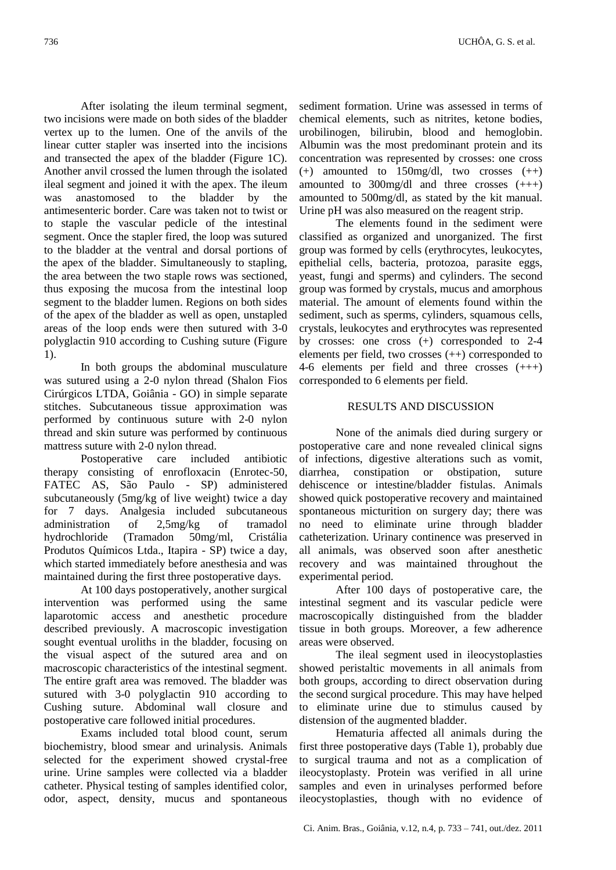After isolating the ileum terminal segment, two incisions were made on both sides of the bladder vertex up to the lumen. One of the anvils of the linear cutter stapler was inserted into the incisions and transected the apex of the bladder (Figure 1C). Another anvil crossed the lumen through the isolated ileal segment and joined it with the apex. The ileum was anastomosed to the bladder by the antimesenteric border. Care was taken not to twist or to staple the vascular pedicle of the intestinal segment. Once the stapler fired, the loop was sutured to the bladder at the ventral and dorsal portions of the apex of the bladder. Simultaneously to stapling, the area between the two staple rows was sectioned, thus exposing the mucosa from the intestinal loop segment to the bladder lumen. Regions on both sides of the apex of the bladder as well as open, unstapled areas of the loop ends were then sutured with 3-0 polyglactin 910 according to Cushing suture (Figure 1).

In both groups the abdominal musculature was sutured using a 2-0 nylon thread (Shalon Fios Cirúrgicos LTDA, Goiânia - GO) in simple separate stitches. Subcutaneous tissue approximation was performed by continuous suture with 2-0 nylon thread and skin suture was performed by continuous mattress suture with 2-0 nylon thread.

Postoperative care included antibiotic therapy consisting of enrofloxacin (Enrotec-50, FATEC AS, São Paulo - SP) administered subcutaneously (5mg/kg of live weight) twice a day for 7 days. Analgesia included subcutaneous administration of 2,5mg/kg of tramadol hydrochloride (Tramadon 50mg/ml, Cristália Produtos Químicos Ltda., Itapira - SP) twice a day, which started immediately before anesthesia and was maintained during the first three postoperative days.

At 100 days postoperatively, another surgical intervention was performed using the same laparotomic access and anesthetic procedure described previously. A macroscopic investigation sought eventual uroliths in the bladder, focusing on the visual aspect of the sutured area and on macroscopic characteristics of the intestinal segment. The entire graft area was removed. The bladder was sutured with 3-0 polyglactin 910 according to Cushing suture. Abdominal wall closure and postoperative care followed initial procedures.

Exams included total blood count, serum biochemistry, blood smear and urinalysis. Animals selected for the experiment showed crystal-free urine. Urine samples were collected via a bladder catheter. Physical testing of samples identified color, odor, aspect, density, mucus and spontaneous

sediment formation. Urine was assessed in terms of chemical elements, such as nitrites, ketone bodies, urobilinogen, bilirubin, blood and hemoglobin. Albumin was the most predominant protein and its concentration was represented by crosses: one cross  $(+)$  amounted to 150mg/dl, two crosses  $(++)$ amounted to  $300$ mg/dl and three crosses  $(++)$ amounted to 500mg/dl, as stated by the kit manual. Urine pH was also measured on the reagent strip.

The elements found in the sediment were classified as organized and unorganized. The first group was formed by cells (erythrocytes, leukocytes, epithelial cells, bacteria, protozoa, parasite eggs, yeast, fungi and sperms) and cylinders. The second group was formed by crystals, mucus and amorphous material. The amount of elements found within the sediment, such as sperms, cylinders, squamous cells, crystals, leukocytes and erythrocytes was represented by crosses: one cross (+) corresponded to 2-4 elements per field, two crosses (++) corresponded to 4-6 elements per field and three crosses (+++) corresponded to 6 elements per field.

### RESULTS AND DISCUSSION

None of the animals died during surgery or postoperative care and none revealed clinical signs of infections, digestive alterations such as vomit, diarrhea, constipation or obstipation, suture dehiscence or intestine/bladder fistulas. Animals showed quick postoperative recovery and maintained spontaneous micturition on surgery day; there was no need to eliminate urine through bladder catheterization. Urinary continence was preserved in all animals, was observed soon after anesthetic recovery and was maintained throughout the experimental period.

After 100 days of postoperative care, the intestinal segment and its vascular pedicle were macroscopically distinguished from the bladder tissue in both groups. Moreover, a few adherence areas were observed.

The ileal segment used in ileocystoplasties showed peristaltic movements in all animals from both groups, according to direct observation during the second surgical procedure. This may have helped to eliminate urine due to stimulus caused by distension of the augmented bladder.

Hematuria affected all animals during the first three postoperative days (Table 1), probably due to surgical trauma and not as a complication of ileocystoplasty. Protein was verified in all urine samples and even in urinalyses performed before ileocystoplasties, though with no evidence of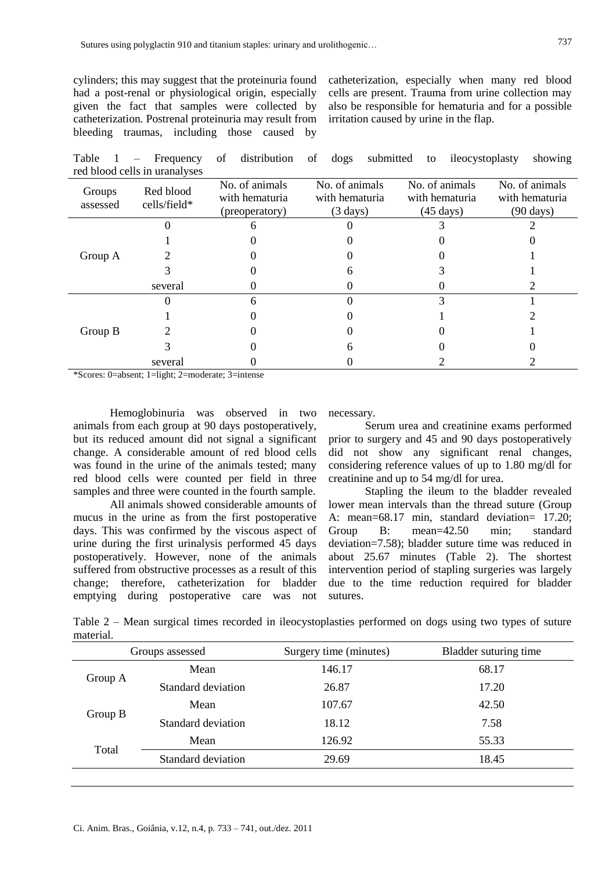cylinders; this may suggest that the proteinuria found had a post-renal or physiological origin, especially given the fact that samples were collected by catheterization. Postrenal proteinuria may result from bleeding traumas, including those caused by

catheterization, especially when many red blood cells are present. Trauma from urine collection may also be responsible for hematuria and for a possible irritation caused by urine in the flap.

Table 1 – Frequency of distribution of dogs submitted to ileocystoplasty showing red blood cells in uranalyses

| Groups<br>assessed | Red blood<br>cells/field* | No. of animals<br>with hematuria<br>(preoperatory) | No. of animals<br>with hematuria<br>$(3 \text{ days})$ | No. of animals<br>with hematuria<br>$(45 \text{ days})$ | No. of animals<br>with hematuria<br>$(90 \text{ days})$ |
|--------------------|---------------------------|----------------------------------------------------|--------------------------------------------------------|---------------------------------------------------------|---------------------------------------------------------|
| Group A            |                           |                                                    |                                                        |                                                         |                                                         |
|                    |                           |                                                    |                                                        |                                                         |                                                         |
|                    |                           |                                                    |                                                        |                                                         |                                                         |
|                    |                           |                                                    |                                                        |                                                         |                                                         |
|                    | several                   |                                                    |                                                        |                                                         |                                                         |
| Group B            |                           |                                                    |                                                        |                                                         |                                                         |
|                    |                           |                                                    |                                                        |                                                         |                                                         |
|                    |                           |                                                    |                                                        |                                                         |                                                         |
|                    |                           |                                                    |                                                        |                                                         |                                                         |
|                    | several                   |                                                    |                                                        |                                                         |                                                         |

\*Scores: 0=absent; 1=light; 2=moderate; 3=intense

Hemoglobinuria was observed in two animals from each group at 90 days postoperatively, but its reduced amount did not signal a significant change. A considerable amount of red blood cells was found in the urine of the animals tested; many red blood cells were counted per field in three samples and three were counted in the fourth sample.

All animals showed considerable amounts of mucus in the urine as from the first postoperative days. This was confirmed by the viscous aspect of urine during the first urinalysis performed 45 days postoperatively. However, none of the animals suffered from obstructive processes as a result of this change; therefore, catheterization for bladder emptying during postoperative care was not necessary.

Serum urea and creatinine exams performed prior to surgery and 45 and 90 days postoperatively did not show any significant renal changes, considering reference values of up to 1.80 mg/dl for creatinine and up to 54 mg/dl for urea.

Stapling the ileum to the bladder revealed lower mean intervals than the thread suture (Group A: mean=68.17 min, standard deviation= 17.20; Group B: mean=42.50 min; standard deviation=7.58); bladder suture time was reduced in about 25.67 minutes (Table 2). The shortest intervention period of stapling surgeries was largely due to the time reduction required for bladder sutures.

Table 2 – Mean surgical times recorded in ileocystoplasties performed on dogs using two types of suture material.

| Groups assessed |                    | Surgery time (minutes) | Bladder suturing time |  |
|-----------------|--------------------|------------------------|-----------------------|--|
| Group A         | Mean               | 146.17                 | 68.17                 |  |
|                 | Standard deviation | 26.87                  | 17.20                 |  |
| Group $B$       | Mean               | 107.67                 | 42.50                 |  |
|                 | Standard deviation | 18.12                  | 7.58                  |  |
| Total           | Mean               | 126.92                 | 55.33                 |  |
|                 | Standard deviation | 29.69                  | 18.45                 |  |
|                 |                    |                        |                       |  |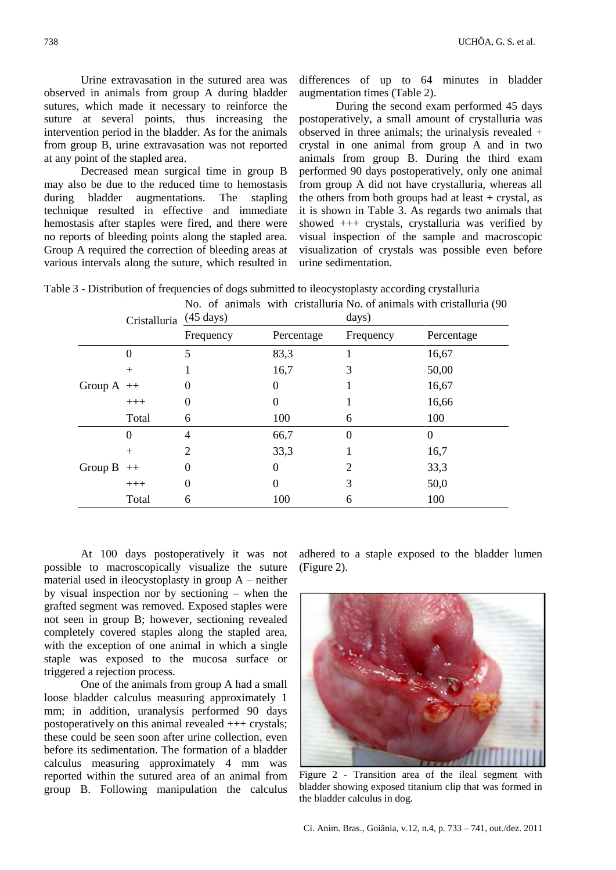Urine extravasation in the sutured area was observed in animals from group A during bladder sutures, which made it necessary to reinforce the suture at several points, thus increasing the intervention period in the bladder. As for the animals from group B, urine extravasation was not reported at any point of the stapled area.

Decreased mean surgical time in group B may also be due to the reduced time to hemostasis during bladder augmentations. The stapling technique resulted in effective and immediate hemostasis after staples were fired, and there were no reports of bleeding points along the stapled area. Group A required the correction of bleeding areas at various intervals along the suture, which resulted in differences of up to 64 minutes in bladder augmentation times (Table 2).

During the second exam performed 45 days postoperatively, a small amount of crystalluria was observed in three animals; the urinalysis revealed + crystal in one animal from group A and in two animals from group B. During the third exam performed 90 days postoperatively, only one animal from group A did not have crystalluria, whereas all the others from both groups had at least  $+$  crystal, as it is shown in Table 3. As regards two animals that showed +++ crystals, crystalluria was verified by visual inspection of the sample and macroscopic visualization of crystals was possible even before urine sedimentation.

|         | Cristalluria (45 days) | No. of animals with cristalluria No. of animals with cristalluria (90<br>days) |            |           |            |
|---------|------------------------|--------------------------------------------------------------------------------|------------|-----------|------------|
|         |                        | Frequency                                                                      | Percentage | Frequency | Percentage |
| Group A |                        | 5                                                                              | 83,3       |           | 16,67      |
|         | $^+$                   |                                                                                | 16,7       | 3         | 50,00      |
|         | $++$                   | 0                                                                              | 0          |           | 16,67      |
|         | $+++$                  | 0                                                                              | 0          |           | 16,66      |
|         | Total                  | 6                                                                              | 100        | 6         | 100        |
| Group B | 0                      | 4                                                                              | 66,7       | 0         | $\Omega$   |
|         | $^{+}$                 | 2                                                                              | 33,3       |           | 16,7       |
|         | $++$                   |                                                                                | 0          |           | 33,3       |
|         | $+++$                  | 0                                                                              | 0          | 3         | 50,0       |
|         | Total                  | 6                                                                              | 100        | 6         | 100        |

Table 3 - Distribution of frequencies of dogs submitted to ileocystoplasty according crystalluria

At 100 days postoperatively it was not possible to macroscopically visualize the suture material used in ileocystoplasty in group  $A$  – neither by visual inspection nor by sectioning – when the grafted segment was removed. Exposed staples were not seen in group B; however, sectioning revealed completely covered staples along the stapled area, with the exception of one animal in which a single staple was exposed to the mucosa surface or triggered a rejection process.

One of the animals from group A had a small loose bladder calculus measuring approximately 1 mm; in addition, uranalysis performed 90 days postoperatively on this animal revealed  $++$  crystals: these could be seen soon after urine collection, even before its sedimentation. The formation of a bladder calculus measuring approximately 4 mm was reported within the sutured area of an animal from group B. Following manipulation the calculus

adhered to a staple exposed to the bladder lumen (Figure 2).



Figure 2 - Transition area of the ileal segment with bladder showing exposed titanium clip that was formed in the bladder calculus in dog.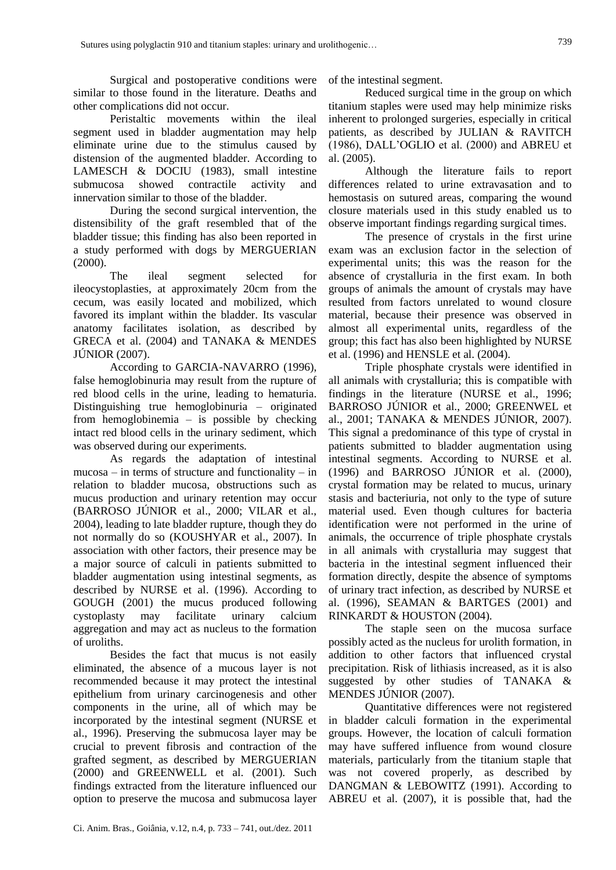Surgical and postoperative conditions were similar to those found in the literature. Deaths and other complications did not occur.

Peristaltic movements within the ileal segment used in bladder augmentation may help eliminate urine due to the stimulus caused by distension of the augmented bladder. According to LAMESCH & DOCIU (1983), small intestine submucosa showed contractile activity and innervation similar to those of the bladder.

During the second surgical intervention, the distensibility of the graft resembled that of the bladder tissue; this finding has also been reported in a study performed with dogs by MERGUERIAN (2000).

The ileal segment selected for ileocystoplasties, at approximately 20cm from the cecum, was easily located and mobilized, which favored its implant within the bladder. Its vascular anatomy facilitates isolation, as described by GRECA et al. (2004) and TANAKA & MENDES JÚNIOR (2007).

According to GARCIA-NAVARRO (1996), false hemoglobinuria may result from the rupture of red blood cells in the urine, leading to hematuria. Distinguishing true hemoglobinuria – originated from hemoglobinemia – is possible by checking intact red blood cells in the urinary sediment, which was observed during our experiments.

As regards the adaptation of intestinal  $mucosa - in terms of structure and functionality - in$ relation to bladder mucosa, obstructions such as mucus production and urinary retention may occur (BARROSO JÚNIOR et al., 2000; VILAR et al., 2004), leading to late bladder rupture, though they do not normally do so (KOUSHYAR et al., 2007). In association with other factors, their presence may be a major source of calculi in patients submitted to bladder augmentation using intestinal segments, as described by NURSE et al. (1996). According to GOUGH (2001) the mucus produced following cystoplasty may facilitate urinary calcium aggregation and may act as nucleus to the formation of uroliths.

Besides the fact that mucus is not easily eliminated, the absence of a mucous layer is not recommended because it may protect the intestinal epithelium from urinary carcinogenesis and other components in the urine, all of which may be incorporated by the intestinal segment (NURSE et al., 1996). Preserving the submucosa layer may be crucial to prevent fibrosis and contraction of the grafted segment, as described by MERGUERIAN (2000) and GREENWELL et al. (2001). Such findings extracted from the literature influenced our option to preserve the mucosa and submucosa layer of the intestinal segment.

Reduced surgical time in the group on which titanium staples were used may help minimize risks inherent to prolonged surgeries, especially in critical patients, as described by JULIAN & RAVITCH (1986), DALL'OGLIO et al. (2000) and ABREU et al. (2005).

Although the literature fails to report differences related to urine extravasation and to hemostasis on sutured areas, comparing the wound closure materials used in this study enabled us to observe important findings regarding surgical times.

The presence of crystals in the first urine exam was an exclusion factor in the selection of experimental units; this was the reason for the absence of crystalluria in the first exam. In both groups of animals the amount of crystals may have resulted from factors unrelated to wound closure material, because their presence was observed in almost all experimental units, regardless of the group; this fact has also been highlighted by NURSE et al. (1996) and HENSLE et al. (2004).

Triple phosphate crystals were identified in all animals with crystalluria; this is compatible with findings in the literature (NURSE et al., 1996; BARROSO JÚNIOR et al., 2000; GREENWEL et al., 2001; TANAKA & MENDES JÚNIOR, 2007). This signal a predominance of this type of crystal in patients submitted to bladder augmentation using intestinal segments. According to NURSE et al. (1996) and BARROSO JÚNIOR et al. (2000), crystal formation may be related to mucus, urinary stasis and bacteriuria, not only to the type of suture material used. Even though cultures for bacteria identification were not performed in the urine of animals, the occurrence of triple phosphate crystals in all animals with crystalluria may suggest that bacteria in the intestinal segment influenced their formation directly, despite the absence of symptoms of urinary tract infection, as described by NURSE et al. (1996), SEAMAN & BARTGES (2001) and RINKARDT & HOUSTON (2004).

The staple seen on the mucosa surface possibly acted as the nucleus for urolith formation, in addition to other factors that influenced crystal precipitation. Risk of lithiasis increased, as it is also suggested by other studies of TANAKA & MENDES JÚNIOR (2007).

Quantitative differences were not registered in bladder calculi formation in the experimental groups. However, the location of calculi formation may have suffered influence from wound closure materials, particularly from the titanium staple that was not covered properly, as described by DANGMAN & LEBOWITZ (1991). According to ABREU et al. (2007), it is possible that, had the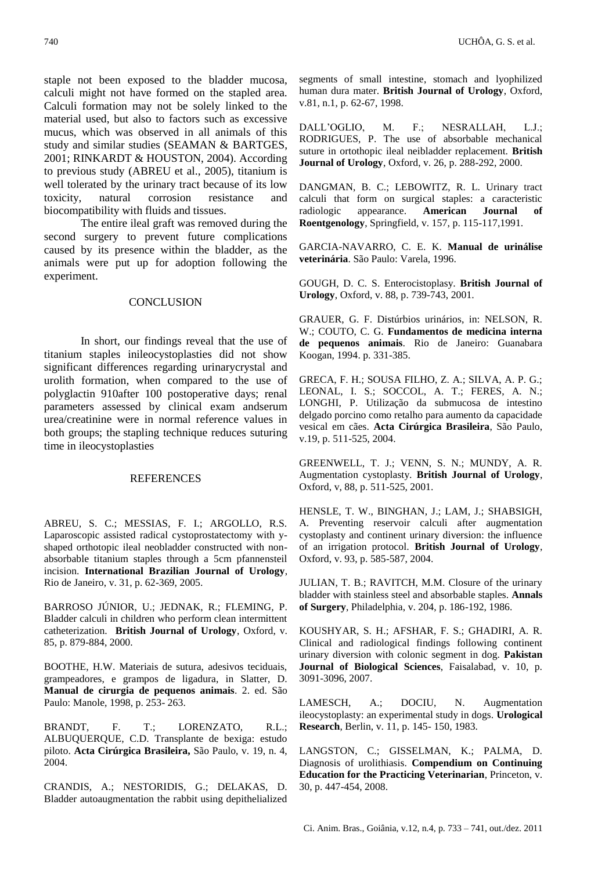staple not been exposed to the bladder mucosa, calculi might not have formed on the stapled area. Calculi formation may not be solely linked to the material used, but also to factors such as excessive mucus, which was observed in all animals of this study and similar studies (SEAMAN & BARTGES, 2001; RINKARDT & HOUSTON, 2004). According to previous study (ABREU et al., 2005), titanium is well tolerated by the urinary tract because of its low toxicity, natural corrosion resistance and biocompatibility with fluids and tissues.

The entire ileal graft was removed during the second surgery to prevent future complications caused by its presence within the bladder, as the animals were put up for adoption following the experiment.

#### **CONCLUSION**

In short, our findings reveal that the use of titanium staples inileocystoplasties did not show significant differences regarding urinarycrystal and urolith formation, when compared to the use of polyglactin 910after 100 postoperative days; renal parameters assessed by clinical exam andserum urea/creatinine were in normal reference values in both groups; the stapling technique reduces suturing time in ileocystoplasties

#### REFERENCES

ABREU, S. C.; MESSIAS, F. I.; ARGOLLO, R.S. Laparoscopic assisted radical cystoprostatectomy with yshaped orthotopic ileal neobladder constructed with nonabsorbable titanium staples through a 5cm pfannensteil incision. **International Brazilian Journal of Urology**, Rio de Janeiro, v. 31, p. 62-369, 2005.

BARROSO JÚNIOR, U.; JEDNAK, R.; FLEMING, P. Bladder calculi in children who perform clean intermittent catheterization. **British Journal of Urology**, Oxford, v. 85, p. 879-884, 2000.

BOOTHE, H.W. Materiais de sutura, adesivos teciduais, grampeadores, e grampos de ligadura, in Slatter, D. **Manual de cirurgia de pequenos animais**. 2. ed. São Paulo: Manole, 1998, p. 253- 263.

BRANDT, F. T.; LORENZATO, R.L.; ALBUQUERQUE, C.D. Transplante de bexiga: estudo piloto. **Acta Cirúrgica Brasileira,** São Paulo, v. 19, n. 4, 2004.

CRANDIS, A.; NESTORIDIS, G.; DELAKAS, D. Bladder autoaugmentation the rabbit using depithelialized

segments of small intestine, stomach and lyophilized human dura mater. **British Journal of Urology**, Oxford, v.81, n.1, p. 62-67, 1998.

DALL'OGLIO, M. F.; NESRALLAH, L.J.; RODRIGUES, P. The use of absorbable mechanical suture in ortothopic ileal neibladder replacement. **British Journal of Urology**, Oxford, v. 26, p. 288-292, 2000.

DANGMAN, B. C.; LEBOWITZ, R. L. Urinary tract calculi that form on surgical staples: a caracteristic radiologic appearance. **American Journal of Roentgenology**, Springfield, v. 157, p. 115-117,1991.

GARCIA-NAVARRO, C. E. K. **Manual de urinálise veterinária**. São Paulo: Varela, 1996.

GOUGH, D. C. S. Enterocistoplasy. **British Journal of Urology**, Oxford, v. 88, p. 739-743, 2001.

GRAUER, G. F. Distúrbios urinários, in: NELSON, R. W.; COUTO, C. G. **Fundamentos de medicina interna de pequenos animais**. Rio de Janeiro: Guanabara Koogan, 1994. p. 331-385.

GRECA, F. H.; SOUSA FILHO, Z. A.; SILVA, A. P. G.; LEONAL, I. S.; SOCCOL, A. T.; FERES, A. N.; LONGHI, P. Utilização da submucosa de intestino delgado porcino como retalho para aumento da capacidade vesical em cães. **Acta Cirúrgica Brasileira**, São Paulo, v.19, p. 511-525, 2004.

GREENWELL, T. J.; VENN, S. N.; MUNDY, A. R. Augmentation cystoplasty. **British Journal of Urology**, Oxford, v, 88, p. 511-525, 2001.

HENSLE, T. W., BINGHAN, J.; LAM, J.; SHABSIGH, A. Preventing reservoir calculi after augmentation cystoplasty and continent urinary diversion: the influence of an irrigation protocol. **British Journal of Urology**, Oxford, v. 93, p. 585-587, 2004.

JULIAN, T. B.; RAVITCH, M.M. Closure of the urinary bladder with stainless steel and absorbable staples. **Annals of Surgery**, Philadelphia, v. 204, p. 186-192, 1986.

KOUSHYAR, S. H.; AFSHAR, F. S.; GHADIRI, A. R. Clinical and radiological findings following continent urinary diversion with colonic segment in dog. **Pakistan Journal of Biological Sciences**, Faisalabad, v. 10, p. 3091-3096, 2007.

LAMESCH, A.; DOCIU, N. Augmentation ileocystoplasty: an experimental study in dogs. **Urological Research**, Berlin, v. 11, p. 145- 150, 1983.

LANGSTON, C.; GISSELMAN, K.; PALMA, D. Diagnosis of urolithiasis. **Compendium on Continuing Education for the Practicing Veterinarian**, Princeton, v. 30, p. 447-454, 2008.